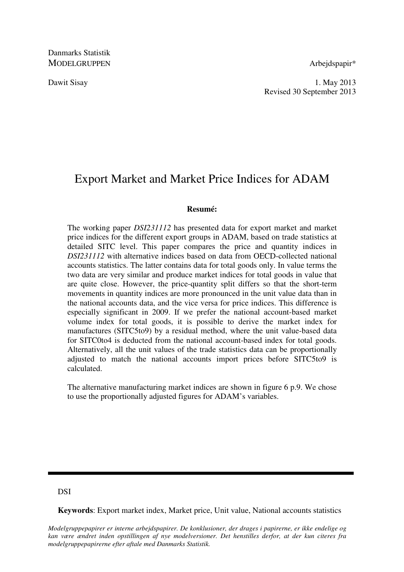Danmarks Statistik MODELGRUPPEN Arbeidspapir\*

Dawit Sisay 1. May 2013 Revised 30 September 2013

# Export Market and Market Price Indices for ADAM

## **Resumé:**

The working paper *DSI231112* has presented data for export market and market price indices for the different export groups in ADAM, based on trade statistics at detailed SITC level. This paper compares the price and quantity indices in *DSI231112* with alternative indices based on data from OECD-collected national accounts statistics. The latter contains data for total goods only. In value terms the two data are very similar and produce market indices for total goods in value that are quite close. However, the price-quantity split differs so that the short-term movements in quantity indices are more pronounced in the unit value data than in the national accounts data, and the vice versa for price indices. This difference is especially significant in 2009. If we prefer the national account-based market volume index for total goods, it is possible to derive the market index for manufactures (SITC5to9) by a residual method, where the unit value-based data for SITC0to4 is deducted from the national account-based index for total goods. Alternatively, all the unit values of the trade statistics data can be proportionally adjusted to match the national accounts import prices before SITC5to9 is calculated.

The alternative manufacturing market indices are shown in figure 6 p.9. We chose to use the proportionally adjusted figures for ADAM's variables.

# DSI

**Keywords**: Export market index, Market price, Unit value, National accounts statistics

*Modelgruppepapirer er interne arbejdspapirer. De konklusioner, der drages i papirerne, er ikke endelige og kan være ændret inden opstillingen af nye modelversioner. Det henstilles derfor, at der kun citeres fra modelgruppepapirerne efter aftale med Danmarks Statistik.*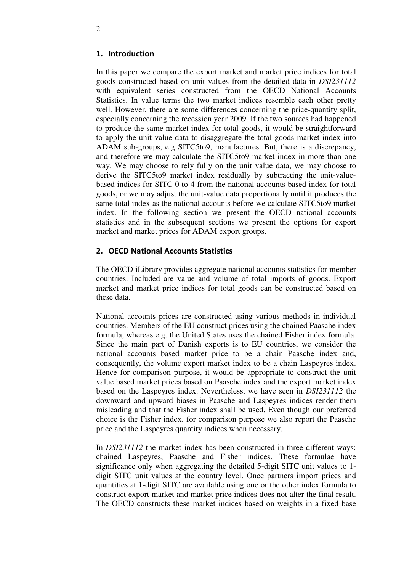# 1. Introduction

In this paper we compare the export market and market price indices for total goods constructed based on unit values from the detailed data in *DSI231112* with equivalent series constructed from the OECD National Accounts Statistics. In value terms the two market indices resemble each other pretty well. However, there are some differences concerning the price-quantity split, especially concerning the recession year 2009. If the two sources had happened to produce the same market index for total goods, it would be straightforward to apply the unit value data to disaggregate the total goods market index into ADAM sub-groups, e.g SITC5to9, manufactures. But, there is a discrepancy, and therefore we may calculate the SITC5to9 market index in more than one way. We may choose to rely fully on the unit value data, we may choose to derive the SITC5to9 market index residually by subtracting the unit-valuebased indices for SITC 0 to 4 from the national accounts based index for total goods, or we may adjust the unit-value data proportionally until it produces the same total index as the national accounts before we calculate SITC5to9 market index. In the following section we present the OECD national accounts statistics and in the subsequent sections we present the options for export market and market prices for ADAM export groups.

# 2. OECD National Accounts Statistics

The OECD iLibrary provides aggregate national accounts statistics for member countries. Included are value and volume of total imports of goods. Export market and market price indices for total goods can be constructed based on these data.

National accounts prices are constructed using various methods in individual countries. Members of the EU construct prices using the chained Paasche index formula, whereas e.g. the United States uses the chained Fisher index formula. Since the main part of Danish exports is to EU countries, we consider the national accounts based market price to be a chain Paasche index and, consequently, the volume export market index to be a chain Laspeyres index. Hence for comparison purpose, it would be appropriate to construct the unit value based market prices based on Paasche index and the export market index based on the Laspeyres index. Nevertheless, we have seen in *DSI231112* the downward and upward biases in Paasche and Laspeyres indices render them misleading and that the Fisher index shall be used. Even though our preferred choice is the Fisher index, for comparison purpose we also report the Paasche price and the Laspeyres quantity indices when necessary.

In *DSI231112* the market index has been constructed in three different ways: chained Laspeyres, Paasche and Fisher indices. These formulae have significance only when aggregating the detailed 5-digit SITC unit values to 1 digit SITC unit values at the country level. Once partners import prices and quantities at 1-digit SITC are available using one or the other index formula to construct export market and market price indices does not alter the final result. The OECD constructs these market indices based on weights in a fixed base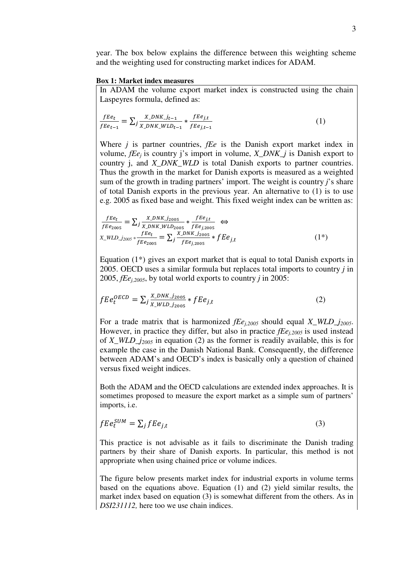year. The box below explains the difference between this weighting scheme and the weighting used for constructing market indices for ADAM.

#### **Box 1: Market index measures**

In ADAM the volume export market index is constructed using the chain Laspeyres formula, defined as:

$$
\frac{fEe_t}{fEe_{t-1}} = \sum_j \frac{X\_DNK_j_{t-1}}{X\_DNK_jWLD_{t-1}} * \frac{fEe_{j,t}}{fEe_{j,t-1}}
$$
(1)

Where *j* is partner countries, *fEe* is the Danish export market index in volume, *fEe<sup>j</sup>* is country j's import in volume, *X\_DNK\_j* is Danish export to country j, and *X\_DNK\_WLD* is total Danish exports to partner countries. Thus the growth in the market for Danish exports is measured as a weighted sum of the growth in trading partners' import. The weight is country *j*'s share of total Danish exports in the previous year. An alternative to (1) is to use e.g. 2005 as fixed base and weight. This fixed weight index can be written as:

$$
\frac{fEe_t}{fEe_{2005}} = \sum_j \frac{X_{DNK\_j_{2005}}}{X_{DNK\_WLD_{2005}}} * \frac{fEe_{j,t}}{fEe_{j,2005}} \Leftrightarrow
$$
\n
$$
X_{WLD\_j_{2005}} * \frac{fEe_t}{fEe_{2005}} = \sum_j \frac{X_{DNK\_j_{2005}}}{fEe_{j,2005}} * fEe_{j,t}
$$
\n(1\*)

Equation (1\*) gives an export market that is equal to total Danish exports in 2005. OECD uses a similar formula but replaces total imports to country *j* in 2005, *fEej,2005*, by total world exports to country *j* in 2005:

$$
fE e_t^{OECD} = \sum_j \frac{X_{DNK}}{X_{WLD}}_{j_{2005}} * fE e_{j,t}
$$
 (2)

For a trade matrix that is harmonized *fEej,2005* should equal *X\_WLD\_j2005*. However, in practice they differ, but also in practice *fEej,2005* is used instead of *X\_WLD\_j2005* in equation (2) as the former is readily available, this is for example the case in the Danish National Bank. Consequently, the difference between ADAM's and OECD's index is basically only a question of chained versus fixed weight indices.

Both the ADAM and the OECD calculations are extended index approaches. It is sometimes proposed to measure the export market as a simple sum of partners' imports, i.e.

$$
fEe_t^{SUM} = \sum_j fEe_{j,t} \tag{3}
$$

This practice is not advisable as it fails to discriminate the Danish trading partners by their share of Danish exports. In particular, this method is not appropriate when using chained price or volume indices.

The figure below presents market index for industrial exports in volume terms based on the equations above. Equation (1) and (2) yield similar results, the market index based on equation (3) is somewhat different from the others. As in *DSI231112,* here too we use chain indices.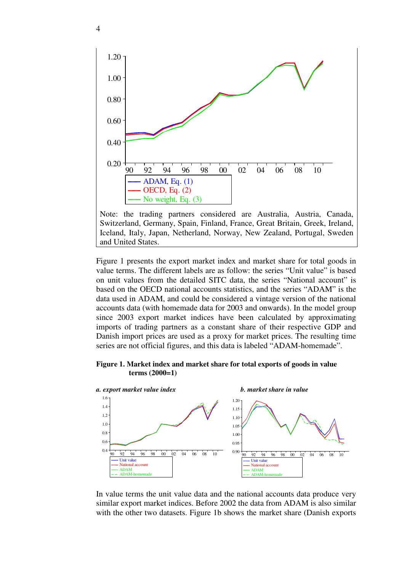

Note: the trading partners considered are Australia, Austria, Canada, Switzerland, Germany, Spain, Finland, France, Great Britain, Greek, Ireland, Iceland, Italy, Japan, Netherland, Norway, New Zealand, Portugal, Sweden and United States.

Figure 1 presents the export market index and market share for total goods in value terms. The different labels are as follow: the series "Unit value" is based on unit values from the detailed SITC data, the series "National account" is based on the OECD national accounts statistics, and the series "ADAM" is the data used in ADAM, and could be considered a vintage version of the national accounts data (with homemade data for 2003 and onwards). In the model group since 2003 export market indices have been calculated by approximating imports of trading partners as a constant share of their respective GDP and Danish import prices are used as a proxy for market prices. The resulting time series are not official figures, and this data is labeled "ADAM-homemade".

## **Figure 1. Market index and market share for total exports of goods in value terms (2000=1)**



In value terms the unit value data and the national accounts data produce very similar export market indices. Before 2002 the data from ADAM is also similar with the other two datasets. Figure 1b shows the market share (Danish exports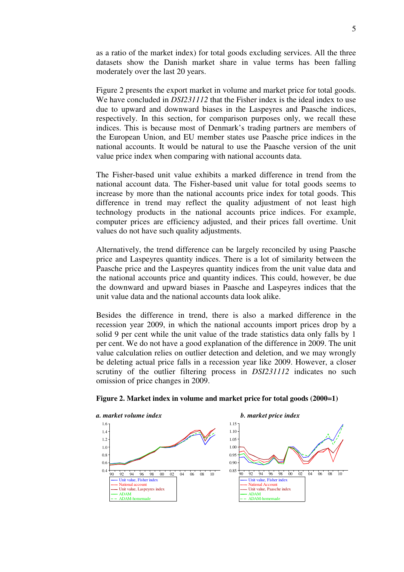as a ratio of the market index) for total goods excluding services. All the three datasets show the Danish market share in value terms has been falling moderately over the last 20 years.

Figure 2 presents the export market in volume and market price for total goods. We have concluded in *DSI231112* that the Fisher index is the ideal index to use due to upward and downward biases in the Laspeyres and Paasche indices, respectively. In this section, for comparison purposes only, we recall these indices. This is because most of Denmark's trading partners are members of the European Union, and EU member states use Paasche price indices in the national accounts. It would be natural to use the Paasche version of the unit value price index when comparing with national accounts data.

The Fisher-based unit value exhibits a marked difference in trend from the national account data. The Fisher-based unit value for total goods seems to increase by more than the national accounts price index for total goods. This difference in trend may reflect the quality adjustment of not least high technology products in the national accounts price indices. For example, computer prices are efficiency adjusted, and their prices fall overtime. Unit values do not have such quality adjustments.

Alternatively, the trend difference can be largely reconciled by using Paasche price and Laspeyres quantity indices. There is a lot of similarity between the Paasche price and the Laspeyres quantity indices from the unit value data and the national accounts price and quantity indices. This could, however, be due the downward and upward biases in Paasche and Laspeyres indices that the unit value data and the national accounts data look alike.

Besides the difference in trend, there is also a marked difference in the recession year 2009, in which the national accounts import prices drop by a solid 9 per cent while the unit value of the trade statistics data only falls by 1 per cent. We do not have a good explanation of the difference in 2009. The unit value calculation relies on outlier detection and deletion, and we may wrongly be deleting actual price falls in a recession year like 2009. However, a closer scrutiny of the outlier filtering process in *DSI231112* indicates no such omission of price changes in 2009.



#### **Figure 2. Market index in volume and market price for total goods (2000=1)**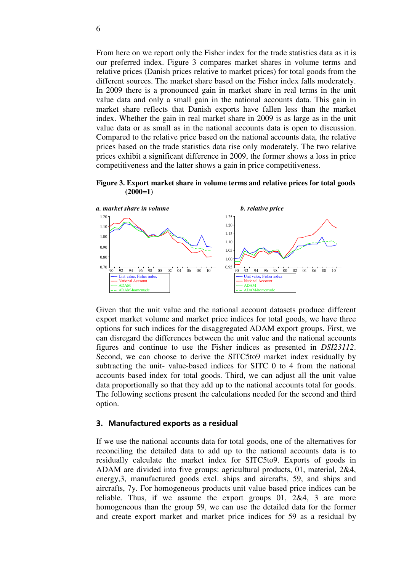From here on we report only the Fisher index for the trade statistics data as it is our preferred index. Figure 3 compares market shares in volume terms and relative prices (Danish prices relative to market prices) for total goods from the different sources. The market share based on the Fisher index falls moderately. In 2009 there is a pronounced gain in market share in real terms in the unit value data and only a small gain in the national accounts data. This gain in market share reflects that Danish exports have fallen less than the market index. Whether the gain in real market share in 2009 is as large as in the unit value data or as small as in the national accounts data is open to discussion. Compared to the relative price based on the national accounts data, the relative prices based on the trade statistics data rise only moderately. The two relative prices exhibit a significant difference in 2009, the former shows a loss in price competitiveness and the latter shows a gain in price competitiveness.

**Figure 3. Export market share in volume terms and relative prices for total goods (2000=1)** 



Given that the unit value and the national account datasets produce different export market volume and market price indices for total goods, we have three options for such indices for the disaggregated ADAM export groups. First, we can disregard the differences between the unit value and the national accounts figures and continue to use the Fisher indices as presented in *DSI23112*. Second, we can choose to derive the SITC5to9 market index residually by subtracting the unit- value-based indices for SITC 0 to 4 from the national accounts based index for total goods. Third, we can adjust all the unit value data proportionally so that they add up to the national accounts total for goods. The following sections present the calculations needed for the second and third option.

#### 3. Manufactured exports as a residual

If we use the national accounts data for total goods, one of the alternatives for reconciling the detailed data to add up to the national accounts data is to residually calculate the market index for SITC5to9. Exports of goods in ADAM are divided into five groups: agricultural products, 01, material, 2&4, energy,3, manufactured goods excl. ships and aircrafts, 59, and ships and aircrafts, 7y. For homogeneous products unit value based price indices can be reliable. Thus, if we assume the export groups 01, 2&4, 3 are more homogeneous than the group 59, we can use the detailed data for the former and create export market and market price indices for 59 as a residual by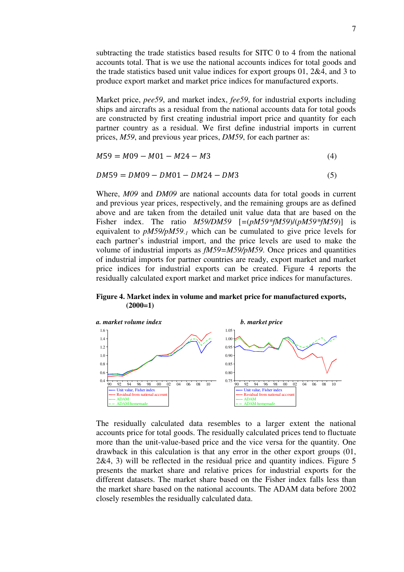subtracting the trade statistics based results for SITC 0 to 4 from the national accounts total. That is we use the national accounts indices for total goods and the trade statistics based unit value indices for export groups 01, 2&4, and 3 to produce export market and market price indices for manufactured exports.

Market price, *pee59*, and market index, *fee59*, for industrial exports including ships and aircrafts as a residual from the national accounts data for total goods are constructed by first creating industrial import price and quantity for each partner country as a residual. We first define industrial imports in current prices, *M59*, and previous year prices, *DM59*, for each partner as:

$$
M59 = M09 - M01 - M24 - M3 \tag{4}
$$

$$
DM59 = DM09 - DM01 - DM24 - DM3 \tag{5}
$$

Where, *M09* and *DM09* are national accounts data for total goods in current and previous year prices, respectively, and the remaining groups are as defined above and are taken from the detailed unit value data that are based on the Fisher index. The ratio *M59/DM59* [*=*(*pM59\*fM59*)/(*pM59\*fM59*)] is equivalent to *pM59/pM59-1* which can be cumulated to give price levels for each partner's industrial import, and the price levels are used to make the volume of industrial imports as *fM59=M59/pM59*. Once prices and quantities of industrial imports for partner countries are ready, export market and market price indices for industrial exports can be created. Figure 4 reports the residually calculated export market and market price indices for manufactures.

**Figure 4. Market index in volume and market price for manufactured exports, (2000=1)** 



The residually calculated data resembles to a larger extent the national accounts price for total goods. The residually calculated prices tend to fluctuate more than the unit-value-based price and the vice versa for the quantity. One drawback in this calculation is that any error in the other export groups (01, 2&4, 3) will be reflected in the residual price and quantity indices. Figure 5 presents the market share and relative prices for industrial exports for the different datasets. The market share based on the Fisher index falls less than the market share based on the national accounts. The ADAM data before 2002 closely resembles the residually calculated data.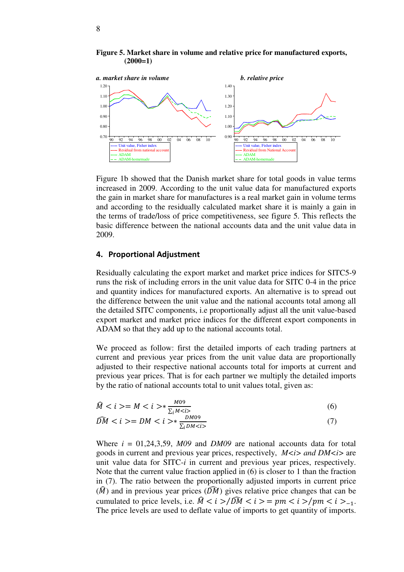**Figure 5. Market share in volume and relative price for manufactured exports, (2000=1)** 



Figure 1b showed that the Danish market share for total goods in value terms increased in 2009. According to the unit value data for manufactured exports the gain in market share for manufactures is a real market gain in volume terms and according to the residually calculated market share it is mainly a gain in the terms of trade/loss of price competitiveness, see figure 5. This reflects the basic difference between the national accounts data and the unit value data in 2009.

## 4. Proportional Adjustment

Residually calculating the export market and market price indices for SITC5-9 runs the risk of including errors in the unit value data for SITC 0-4 in the price and quantity indices for manufactured exports. An alternative is to spread out the difference between the unit value and the national accounts total among all the detailed SITC components, i.e proportionally adjust all the unit value-based export market and market price indices for the different export components in ADAM so that they add up to the national accounts total.

We proceed as follow: first the detailed imports of each trading partners at current and previous year prices from the unit value data are proportionally adjusted to their respective national accounts total for imports at current and previous year prices. That is for each partner we multiply the detailed imports by the ratio of national accounts total to unit values total, given as:

$$
\widehat{M} < i > = M < i > * \frac{M09}{\sum_{i} M < i} \tag{6}
$$

$$
\widehat{DM} < i > = DM < i > * \frac{DM09}{\sum_{i} DM < i} \tag{7}
$$

Where  $i = 01,24,3,59$ ,  $M09$  and  $DM09$  are national accounts data for total goods in current and previous year prices, respectively,  $M \lt i >$  and  $DM \lt i >$  are unit value data for SITC-*i* in current and previous year prices, respectively. Note that the current value fraction applied in (6) is closer to 1 than the fraction in (7). The ratio between the proportionally adjusted imports in current price  $(\widehat{M})$  and in previous year prices  $(\widehat{DM})$  gives relative price changes that can be cumulated to price levels, i.e.  $\hat{M} < i > \hat{D M} < i > = pm < i > /pm < i > -1$ . The price levels are used to deflate value of imports to get quantity of imports.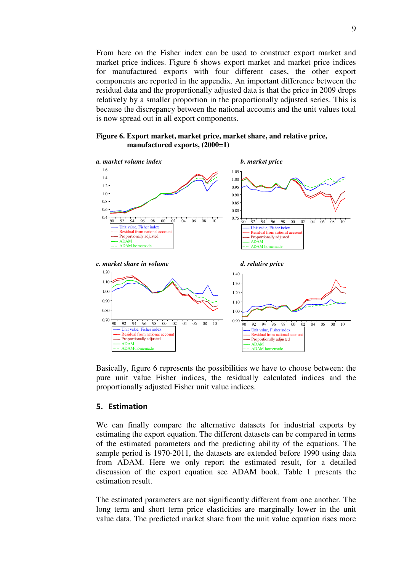From here on the Fisher index can be used to construct export market and market price indices. Figure 6 shows export market and market price indices for manufactured exports with four different cases, the other export components are reported in the appendix. An important difference between the residual data and the proportionally adjusted data is that the price in 2009 drops relatively by a smaller proportion in the proportionally adjusted series. This is because the discrepancy between the national accounts and the unit values total is now spread out in all export components.

#### **Figure 6. Export market, market price, market share, and relative price, manufactured exports, (2000=1)**



Basically, figure 6 represents the possibilities we have to choose between: the pure unit value Fisher indices, the residually calculated indices and the proportionally adjusted Fisher unit value indices.

# 5. Estimation

We can finally compare the alternative datasets for industrial exports by estimating the export equation. The different datasets can be compared in terms of the estimated parameters and the predicting ability of the equations. The sample period is 1970-2011, the datasets are extended before 1990 using data from ADAM. Here we only report the estimated result, for a detailed discussion of the export equation see ADAM book. Table 1 presents the estimation result.

The estimated parameters are not significantly different from one another. The long term and short term price elasticities are marginally lower in the unit value data. The predicted market share from the unit value equation rises more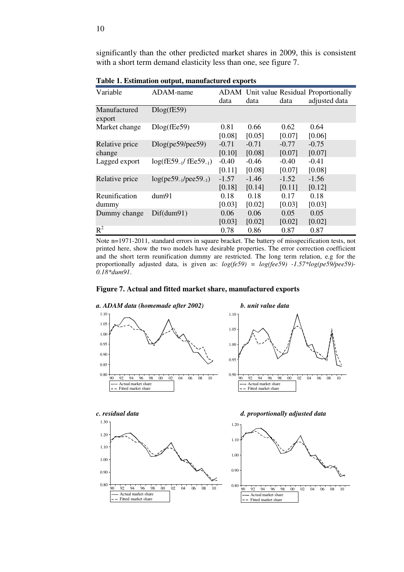significantly than the other predicted market shares in 2009, this is consistent with a short term demand elasticity less than one, see figure 7.

| Variable               | ADAM-name                                             |         |         |         | <b>ADAM</b> Unit value Residual Proportionally |
|------------------------|-------------------------------------------------------|---------|---------|---------|------------------------------------------------|
|                        |                                                       | data    | data    | data    | adjusted data                                  |
| Manufactured<br>export | Dlog(fE59)                                            |         |         |         |                                                |
| Market change          | $Dlog($ f $Ee$ 59)                                    | 0.81    | 0.66    | 0.62    | 0.64                                           |
|                        |                                                       | [0.08]  | [0.05]  | [0.07]  | [0.06]                                         |
| Relative price         | Dlog(pe59/pee59)                                      | $-0.71$ | $-0.71$ | $-0.77$ | $-0.75$                                        |
| change                 |                                                       | [0.10]  | [0.08]  | [0.07]  | [0.07]                                         |
| Lagged export          | $log($ fE59 <sub>-1</sub> $/$ fEe59 <sub>-1</sub> $)$ | $-0.40$ | $-0.46$ | $-0.40$ | $-0.41$                                        |
|                        |                                                       | [0.11]  | [0.08]  | [0.07]  | [0.08]                                         |
| Relative price         | $log(pe59_{-1}/pee59_{-1})$                           | $-1.57$ | $-1.46$ | $-1.52$ | $-1.56$                                        |
|                        |                                                       | [0.18]  | [0.14]  | [0.11]  | [0.12]                                         |
| Reunification          | dum91                                                 | 0.18    | 0.18    | 0.17    | 0.18                                           |
| dummy                  |                                                       | [0.03]  | [0.02]  | [0.03]  | [0.03]                                         |
| Dummy change           | Diff(dum91)                                           | 0.06    | 0.06    | 0.05    | 0.05                                           |
|                        |                                                       | [0.03]  | [0.02]  | [0.02]  | [0.02]                                         |
| $R^2$                  |                                                       | 0.78    | 0.86    | 0.87    | 0.87                                           |

**Table 1. Estimation output, manufactured exports** 

Note n=1971-2011, standard errors in square bracket. The battery of misspecification tests, not printed here, show the two models have desirable properties. The error correction coefficient and the short term reunification dummy are restricted. The long term relation, e.g for the proportionally adjusted data, is given as: *log(fe59) = log(fee59) -1.57\*log(pe59/pee59)- 0.18\*dum91*.

# **Figure 7. Actual and fitted market share, manufactured exports**



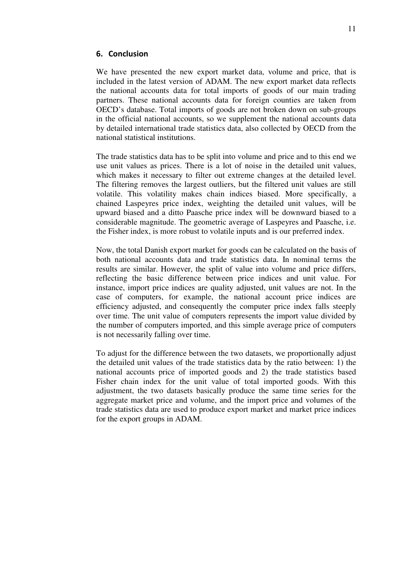## 6. Conclusion

We have presented the new export market data, volume and price, that is included in the latest version of ADAM. The new export market data reflects the national accounts data for total imports of goods of our main trading partners. These national accounts data for foreign counties are taken from OECD's database. Total imports of goods are not broken down on sub-groups in the official national accounts, so we supplement the national accounts data by detailed international trade statistics data, also collected by OECD from the national statistical institutions.

The trade statistics data has to be split into volume and price and to this end we use unit values as prices. There is a lot of noise in the detailed unit values, which makes it necessary to filter out extreme changes at the detailed level. The filtering removes the largest outliers, but the filtered unit values are still volatile. This volatility makes chain indices biased. More specifically, a chained Laspeyres price index, weighting the detailed unit values, will be upward biased and a ditto Paasche price index will be downward biased to a considerable magnitude. The geometric average of Laspeyres and Paasche, i.e. the Fisher index, is more robust to volatile inputs and is our preferred index.

Now, the total Danish export market for goods can be calculated on the basis of both national accounts data and trade statistics data. In nominal terms the results are similar. However, the split of value into volume and price differs, reflecting the basic difference between price indices and unit value. For instance, import price indices are quality adjusted, unit values are not. In the case of computers, for example, the national account price indices are efficiency adjusted, and consequently the computer price index falls steeply over time. The unit value of computers represents the import value divided by the number of computers imported, and this simple average price of computers is not necessarily falling over time.

To adjust for the difference between the two datasets, we proportionally adjust the detailed unit values of the trade statistics data by the ratio between: 1) the national accounts price of imported goods and 2) the trade statistics based Fisher chain index for the unit value of total imported goods. With this adjustment, the two datasets basically produce the same time series for the aggregate market price and volume, and the import price and volumes of the trade statistics data are used to produce export market and market price indices for the export groups in ADAM.